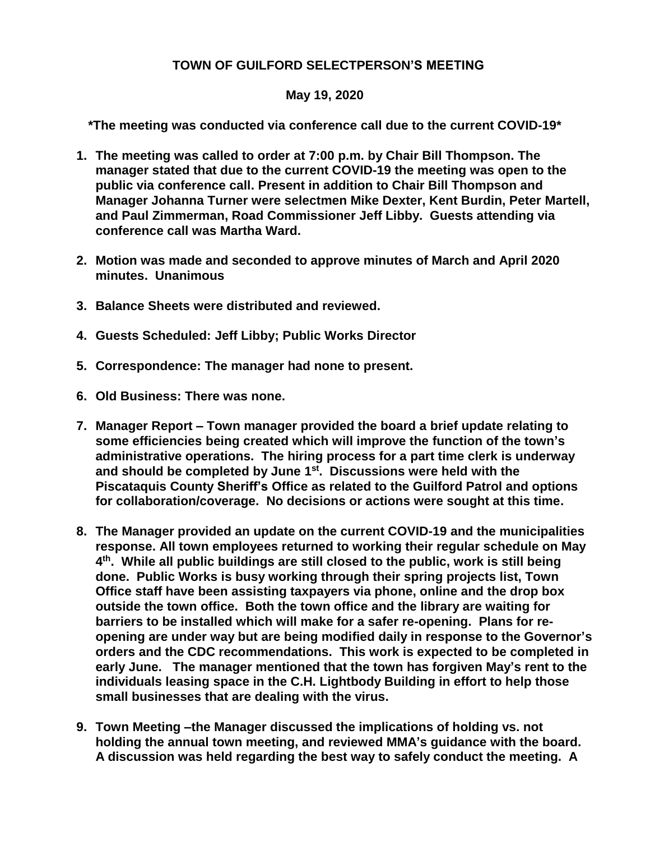## **TOWN OF GUILFORD SELECTPERSON'S MEETING**

## **May 19, 2020**

**\*The meeting was conducted via conference call due to the current COVID-19\***

- **1. The meeting was called to order at 7:00 p.m. by Chair Bill Thompson. The manager stated that due to the current COVID-19 the meeting was open to the public via conference call. Present in addition to Chair Bill Thompson and Manager Johanna Turner were selectmen Mike Dexter, Kent Burdin, Peter Martell, and Paul Zimmerman, Road Commissioner Jeff Libby. Guests attending via conference call was Martha Ward.**
- **2. Motion was made and seconded to approve minutes of March and April 2020 minutes. Unanimous**
- **3. Balance Sheets were distributed and reviewed.**
- **4. Guests Scheduled: Jeff Libby; Public Works Director**
- **5. Correspondence: The manager had none to present.**
- **6. Old Business: There was none.**
- **7. Manager Report – Town manager provided the board a brief update relating to some efficiencies being created which will improve the function of the town's administrative operations. The hiring process for a part time clerk is underway and should be completed by June 1 st. Discussions were held with the Piscataquis County Sheriff's Office as related to the Guilford Patrol and options for collaboration/coverage. No decisions or actions were sought at this time.**
- **8. The Manager provided an update on the current COVID-19 and the municipalities response. All town employees returned to working their regular schedule on May 4 th. While all public buildings are still closed to the public, work is still being done. Public Works is busy working through their spring projects list, Town Office staff have been assisting taxpayers via phone, online and the drop box outside the town office. Both the town office and the library are waiting for barriers to be installed which will make for a safer re-opening. Plans for reopening are under way but are being modified daily in response to the Governor's orders and the CDC recommendations. This work is expected to be completed in early June. The manager mentioned that the town has forgiven May's rent to the individuals leasing space in the C.H. Lightbody Building in effort to help those small businesses that are dealing with the virus.**
- **9. Town Meeting –the Manager discussed the implications of holding vs. not holding the annual town meeting, and reviewed MMA's guidance with the board. A discussion was held regarding the best way to safely conduct the meeting. A**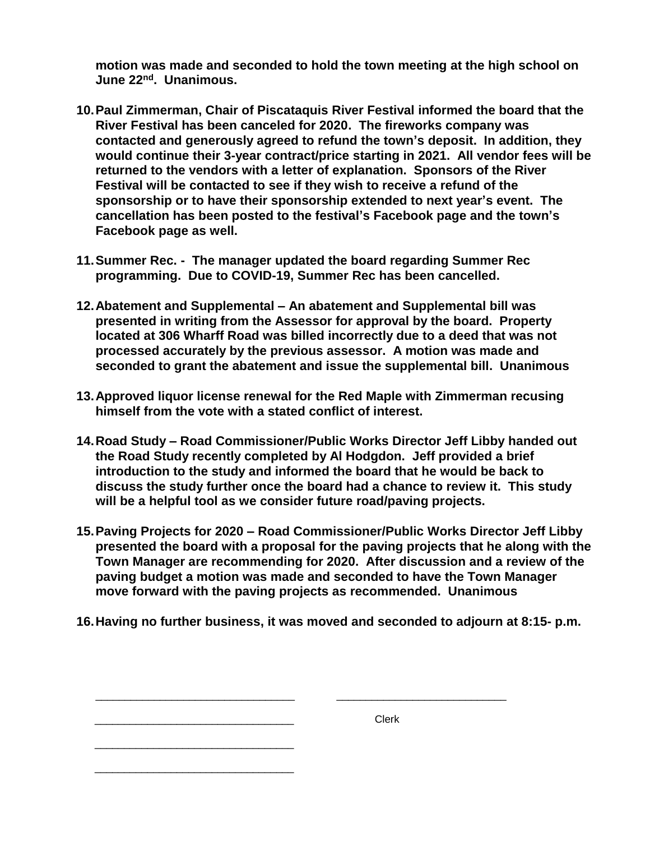**motion was made and seconded to hold the town meeting at the high school on June 22nd. Unanimous.**

- **10.Paul Zimmerman, Chair of Piscataquis River Festival informed the board that the River Festival has been canceled for 2020. The fireworks company was contacted and generously agreed to refund the town's deposit. In addition, they would continue their 3-year contract/price starting in 2021. All vendor fees will be returned to the vendors with a letter of explanation. Sponsors of the River Festival will be contacted to see if they wish to receive a refund of the sponsorship or to have their sponsorship extended to next year's event. The cancellation has been posted to the festival's Facebook page and the town's Facebook page as well.**
- **11.Summer Rec. The manager updated the board regarding Summer Rec programming. Due to COVID-19, Summer Rec has been cancelled.**
- **12.Abatement and Supplemental – An abatement and Supplemental bill was presented in writing from the Assessor for approval by the board. Property located at 306 Wharff Road was billed incorrectly due to a deed that was not processed accurately by the previous assessor. A motion was made and seconded to grant the abatement and issue the supplemental bill. Unanimous**
- **13.Approved liquor license renewal for the Red Maple with Zimmerman recusing himself from the vote with a stated conflict of interest.**
- **14.Road Study – Road Commissioner/Public Works Director Jeff Libby handed out the Road Study recently completed by Al Hodgdon. Jeff provided a brief introduction to the study and informed the board that he would be back to discuss the study further once the board had a chance to review it. This study will be a helpful tool as we consider future road/paving projects.**
- **15.Paving Projects for 2020 – Road Commissioner/Public Works Director Jeff Libby presented the board with a proposal for the paving projects that he along with the Town Manager are recommending for 2020. After discussion and a review of the paving budget a motion was made and seconded to have the Town Manager move forward with the paving projects as recommended. Unanimous**
- **16.Having no further business, it was moved and seconded to adjourn at 8:15- p.m.**

| Clerk |
|-------|
|       |
|       |
|       |